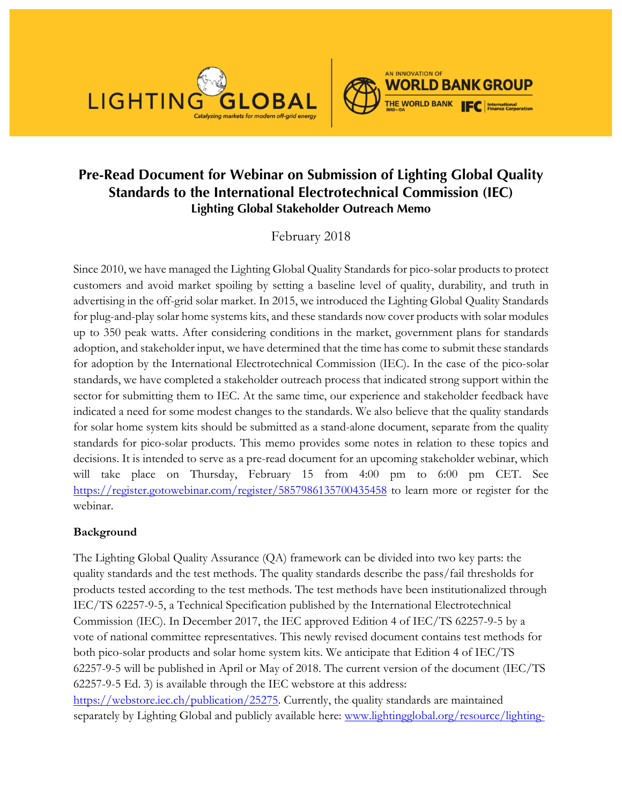



# **Pre-Read Document for Webinar on Submission of Lighting Global Quality Standards to the International Electrotechnical Commission (IEC) Lighting Global Stakeholder Outreach Memo**

February 2018

Since 2010, we have managed the Lighting Global Quality Standards for pico-solar products to protect customers and avoid market spoiling by setting a baseline level of quality, durability, and truth in advertising in the off-grid solar market. In 2015, we introduced the Lighting Global Quality Standards for plug-and-play solar home systems kits, and these standards now cover products with solar modules up to 350 peak watts. After considering conditions in the market, government plans for standards adoption, and stakeholder input, we have determined that the time has come to submit these standards for adoption by the International Electrotechnical Commission (IEC). In the case of the pico-solar standards, we have completed a stakeholder outreach process that indicated strong support within the sector for submitting them to IEC. At the same time, our experience and stakeholder feedback have indicated a need for some modest changes to the standards. We also believe that the quality standards for solar home system kits should be submitted as a stand-alone document, separate from the quality standards for pico-solar products. This memo provides some notes in relation to these topics and decisions. It is intended to serve as a pre-read document for an upcoming stakeholder webinar, which will take place on Thursday, February 15 from 4:00 pm to 6:00 pm CET. See https://register.gotowebinar.com/register/5857986135700435458 to learn more or register for the webinar.

### **Background**

The Lighting Global Quality Assurance (QA) framework can be divided into two key parts: the quality standards and the test methods. The quality standards describe the pass/fail thresholds for products tested according to the test methods. The test methods have been institutionalized through IEC/TS 62257-9-5, a Technical Specification published by the International Electrotechnical Commission (IEC). In December 2017, the IEC approved Edition 4 of IEC/TS 62257-9-5 by a vote of national committee representatives. This newly revised document contains test methods for both pico-solar products and solar home system kits. We anticipate that Edition 4 of IEC/TS 62257-9-5 will be published in April or May of 2018. The current version of the document (IEC/TS 62257-9-5 Ed. 3) is available through the IEC webstore at this address: https://webstore.iec.ch/publication/25275. Currently, the quality standards are maintained separately by Lighting Global and publicly available here: www.lightingglobal.org/resource/lighting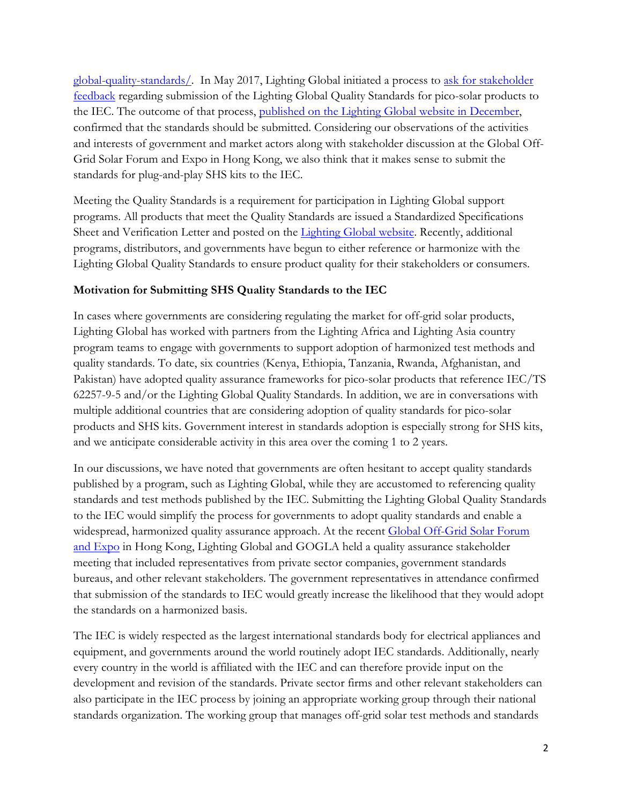global-quality-standards/. In May 2017, Lighting Global initiated a process to ask for stakeholder feedback regarding submission of the Lighting Global Quality Standards for pico-solar products to the IEC. The outcome of that process, published on the Lighting Global website in December, confirmed that the standards should be submitted. Considering our observations of the activities and interests of government and market actors along with stakeholder discussion at the Global Off-Grid Solar Forum and Expo in Hong Kong, we also think that it makes sense to submit the standards for plug-and-play SHS kits to the IEC.

Meeting the Quality Standards is a requirement for participation in Lighting Global support programs. All products that meet the Quality Standards are issued a Standardized Specifications Sheet and Verification Letter and posted on the Lighting Global website. Recently, additional programs, distributors, and governments have begun to either reference or harmonize with the Lighting Global Quality Standards to ensure product quality for their stakeholders or consumers.

#### **Motivation for Submitting SHS Quality Standards to the IEC**

In cases where governments are considering regulating the market for off-grid solar products, Lighting Global has worked with partners from the Lighting Africa and Lighting Asia country program teams to engage with governments to support adoption of harmonized test methods and quality standards. To date, six countries (Kenya, Ethiopia, Tanzania, Rwanda, Afghanistan, and Pakistan) have adopted quality assurance frameworks for pico-solar products that reference IEC/TS 62257-9-5 and/or the Lighting Global Quality Standards. In addition, we are in conversations with multiple additional countries that are considering adoption of quality standards for pico-solar products and SHS kits. Government interest in standards adoption is especially strong for SHS kits, and we anticipate considerable activity in this area over the coming 1 to 2 years.

In our discussions, we have noted that governments are often hesitant to accept quality standards published by a program, such as Lighting Global, while they are accustomed to referencing quality standards and test methods published by the IEC. Submitting the Lighting Global Quality Standards to the IEC would simplify the process for governments to adopt quality standards and enable a widespread, harmonized quality assurance approach. At the recent Global Off-Grid Solar Forum and Expo in Hong Kong, Lighting Global and GOGLA held a quality assurance stakeholder meeting that included representatives from private sector companies, government standards bureaus, and other relevant stakeholders. The government representatives in attendance confirmed that submission of the standards to IEC would greatly increase the likelihood that they would adopt the standards on a harmonized basis.

The IEC is widely respected as the largest international standards body for electrical appliances and equipment, and governments around the world routinely adopt IEC standards. Additionally, nearly every country in the world is affiliated with the IEC and can therefore provide input on the development and revision of the standards. Private sector firms and other relevant stakeholders can also participate in the IEC process by joining an appropriate working group through their national standards organization. The working group that manages off-grid solar test methods and standards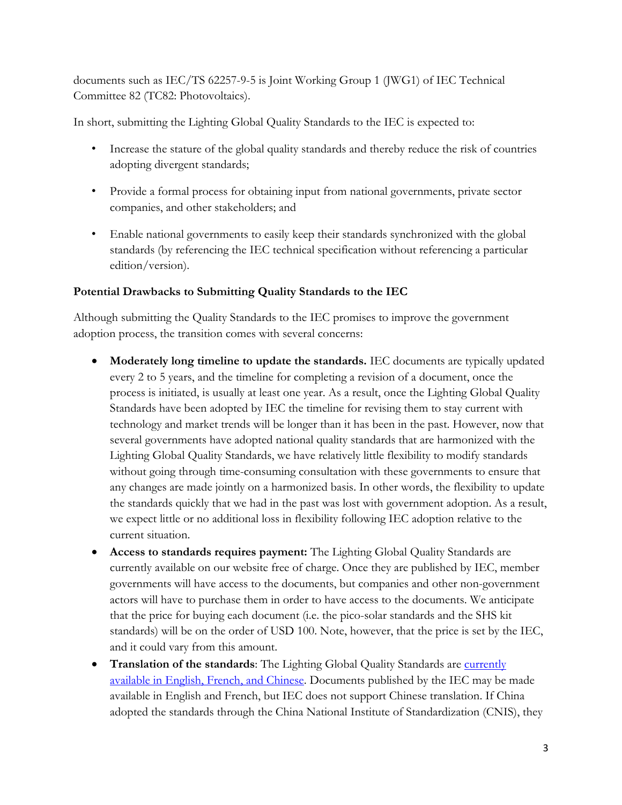documents such as IEC/TS 62257-9-5 is Joint Working Group 1 (JWG1) of IEC Technical Committee 82 (TC82: Photovoltaics).

In short, submitting the Lighting Global Quality Standards to the IEC is expected to:

- Increase the stature of the global quality standards and thereby reduce the risk of countries adopting divergent standards;
- Provide a formal process for obtaining input from national governments, private sector companies, and other stakeholders; and
- Enable national governments to easily keep their standards synchronized with the global standards (by referencing the IEC technical specification without referencing a particular edition/version).

## **Potential Drawbacks to Submitting Quality Standards to the IEC**

Although submitting the Quality Standards to the IEC promises to improve the government adoption process, the transition comes with several concerns:

- **Moderately long timeline to update the standards.** IEC documents are typically updated every 2 to 5 years, and the timeline for completing a revision of a document, once the process is initiated, is usually at least one year. As a result, once the Lighting Global Quality Standards have been adopted by IEC the timeline for revising them to stay current with technology and market trends will be longer than it has been in the past. However, now that several governments have adopted national quality standards that are harmonized with the Lighting Global Quality Standards, we have relatively little flexibility to modify standards without going through time-consuming consultation with these governments to ensure that any changes are made jointly on a harmonized basis. In other words, the flexibility to update the standards quickly that we had in the past was lost with government adoption. As a result, we expect little or no additional loss in flexibility following IEC adoption relative to the current situation.
- **Access to standards requires payment:** The Lighting Global Quality Standards are currently available on our website free of charge. Once they are published by IEC, member governments will have access to the documents, but companies and other non-government actors will have to purchase them in order to have access to the documents. We anticipate that the price for buying each document (i.e. the pico-solar standards and the SHS kit standards) will be on the order of USD 100. Note, however, that the price is set by the IEC, and it could vary from this amount.
- **Translation of the standards:** The Lighting Global Quality Standards are currently available in English, French, and Chinese. Documents published by the IEC may be made available in English and French, but IEC does not support Chinese translation. If China adopted the standards through the China National Institute of Standardization (CNIS), they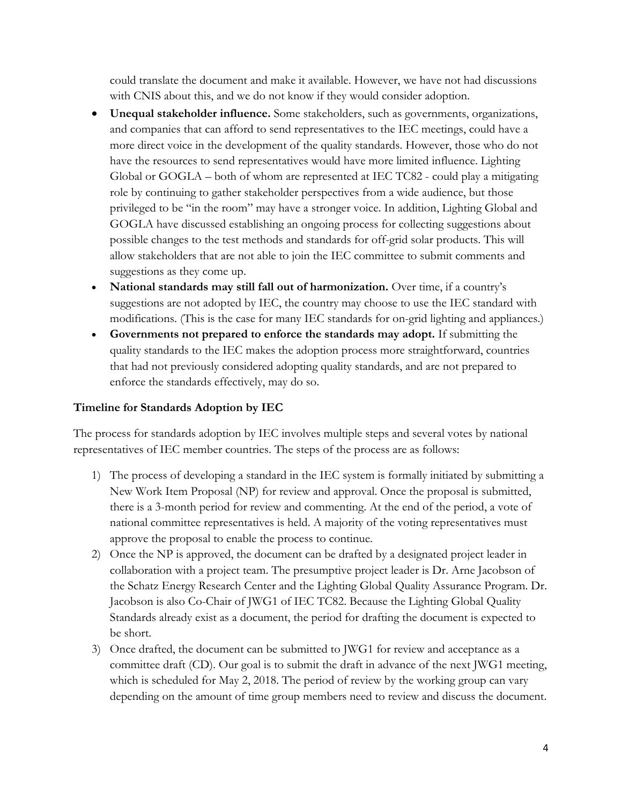could translate the document and make it available. However, we have not had discussions with CNIS about this, and we do not know if they would consider adoption.

- **Unequal stakeholder influence.** Some stakeholders, such as governments, organizations, and companies that can afford to send representatives to the IEC meetings, could have a more direct voice in the development of the quality standards. However, those who do not have the resources to send representatives would have more limited influence. Lighting Global or GOGLA – both of whom are represented at IEC TC82 - could play a mitigating role by continuing to gather stakeholder perspectives from a wide audience, but those privileged to be "in the room" may have a stronger voice. In addition, Lighting Global and GOGLA have discussed establishing an ongoing process for collecting suggestions about possible changes to the test methods and standards for off-grid solar products. This will allow stakeholders that are not able to join the IEC committee to submit comments and suggestions as they come up.
- National standards may still fall out of harmonization. Over time, if a country's suggestions are not adopted by IEC, the country may choose to use the IEC standard with modifications. (This is the case for many IEC standards for on-grid lighting and appliances.)
- **Governments not prepared to enforce the standards may adopt.** If submitting the quality standards to the IEC makes the adoption process more straightforward, countries that had not previously considered adopting quality standards, and are not prepared to enforce the standards effectively, may do so.

#### **Timeline for Standards Adoption by IEC**

The process for standards adoption by IEC involves multiple steps and several votes by national representatives of IEC member countries. The steps of the process are as follows:

- 1) The process of developing a standard in the IEC system is formally initiated by submitting a New Work Item Proposal (NP) for review and approval. Once the proposal is submitted, there is a 3-month period for review and commenting. At the end of the period, a vote of national committee representatives is held. A majority of the voting representatives must approve the proposal to enable the process to continue.
- 2) Once the NP is approved, the document can be drafted by a designated project leader in collaboration with a project team. The presumptive project leader is Dr. Arne Jacobson of the Schatz Energy Research Center and the Lighting Global Quality Assurance Program. Dr. Jacobson is also Co-Chair of JWG1 of IEC TC82. Because the Lighting Global Quality Standards already exist as a document, the period for drafting the document is expected to be short.
- 3) Once drafted, the document can be submitted to JWG1 for review and acceptance as a committee draft (CD). Our goal is to submit the draft in advance of the next JWG1 meeting, which is scheduled for May 2, 2018. The period of review by the working group can vary depending on the amount of time group members need to review and discuss the document.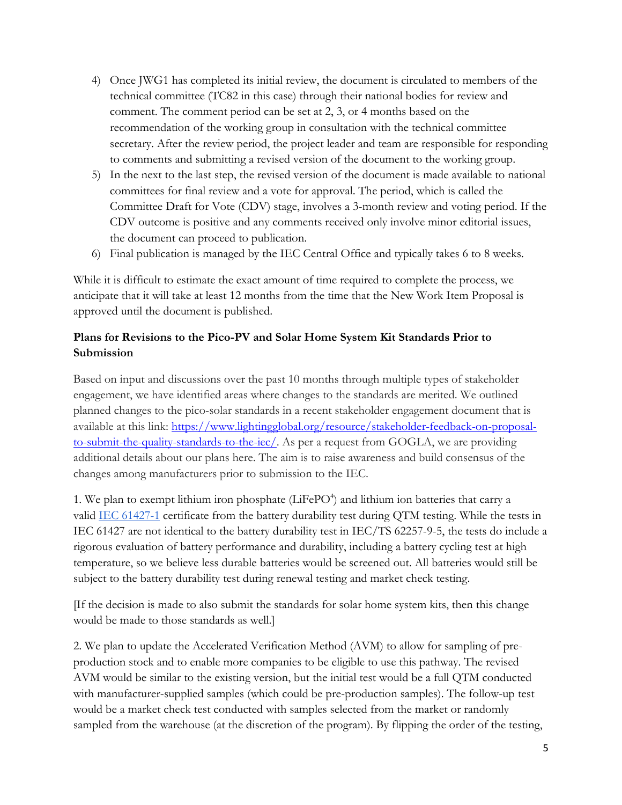- 4) Once JWG1 has completed its initial review, the document is circulated to members of the technical committee (TC82 in this case) through their national bodies for review and comment. The comment period can be set at 2, 3, or 4 months based on the recommendation of the working group in consultation with the technical committee secretary. After the review period, the project leader and team are responsible for responding to comments and submitting a revised version of the document to the working group.
- 5) In the next to the last step, the revised version of the document is made available to national committees for final review and a vote for approval. The period, which is called the Committee Draft for Vote (CDV) stage, involves a 3-month review and voting period. If the CDV outcome is positive and any comments received only involve minor editorial issues, the document can proceed to publication.
- 6) Final publication is managed by the IEC Central Office and typically takes 6 to 8 weeks.

While it is difficult to estimate the exact amount of time required to complete the process, we anticipate that it will take at least 12 months from the time that the New Work Item Proposal is approved until the document is published.

## **Plans for Revisions to the Pico-PV and Solar Home System Kit Standards Prior to Submission**

Based on input and discussions over the past 10 months through multiple types of stakeholder engagement, we have identified areas where changes to the standards are merited. We outlined planned changes to the pico-solar standards in a recent stakeholder engagement document that is available at this link: https://www.lightingglobal.org/resource/stakeholder-feedback-on-proposalto-submit-the-quality-standards-to-the-iec/. As per a request from GOGLA, we are providing additional details about our plans here. The aim is to raise awareness and build consensus of the changes among manufacturers prior to submission to the IEC.

1. We plan to exempt lithium iron phosphate (LiFePO<sup>4</sup>) and lithium ion batteries that carry a valid IEC 61427-1 certificate from the battery durability test during QTM testing. While the tests in IEC 61427 are not identical to the battery durability test in IEC/TS 62257-9-5, the tests do include a rigorous evaluation of battery performance and durability, including a battery cycling test at high temperature, so we believe less durable batteries would be screened out. All batteries would still be subject to the battery durability test during renewal testing and market check testing.

[If the decision is made to also submit the standards for solar home system kits, then this change would be made to those standards as well.]

2. We plan to update the Accelerated Verification Method (AVM) to allow for sampling of preproduction stock and to enable more companies to be eligible to use this pathway. The revised AVM would be similar to the existing version, but the initial test would be a full QTM conducted with manufacturer-supplied samples (which could be pre-production samples). The follow-up test would be a market check test conducted with samples selected from the market or randomly sampled from the warehouse (at the discretion of the program). By flipping the order of the testing,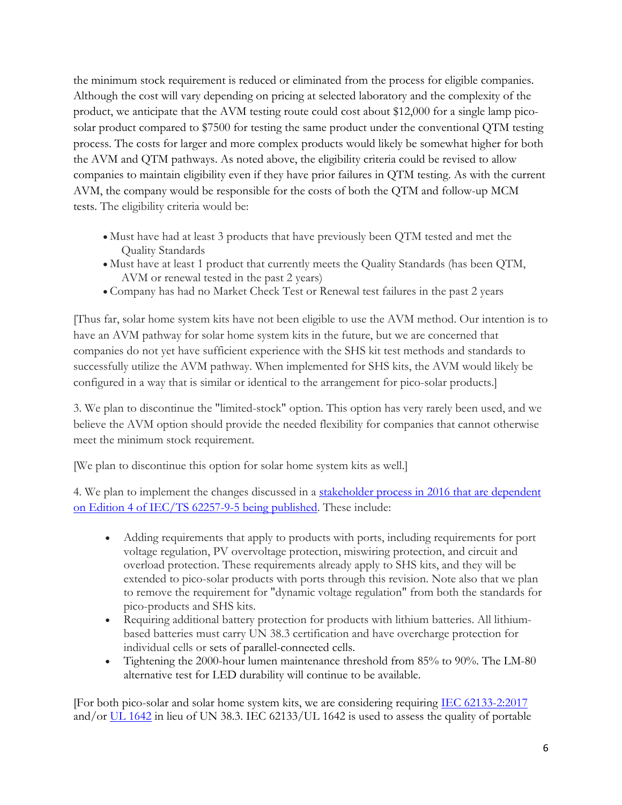the minimum stock requirement is reduced or eliminated from the process for eligible companies. Although the cost will vary depending on pricing at selected laboratory and the complexity of the product, we anticipate that the AVM testing route could cost about \$12,000 for a single lamp picosolar product compared to \$7500 for testing the same product under the conventional QTM testing process. The costs for larger and more complex products would likely be somewhat higher for both the AVM and QTM pathways. As noted above, the eligibility criteria could be revised to allow companies to maintain eligibility even if they have prior failures in QTM testing. As with the current AVM, the company would be responsible for the costs of both the QTM and follow-up MCM tests. The eligibility criteria would be:

- Must have had at least 3 products that have previously been QTM tested and met the Quality Standards
- Must have at least 1 product that currently meets the Quality Standards (has been QTM, AVM or renewal tested in the past 2 years)
- Company has had no Market Check Test or Renewal test failures in the past 2 years

[Thus far, solar home system kits have not been eligible to use the AVM method. Our intention is to have an AVM pathway for solar home system kits in the future, but we are concerned that companies do not yet have sufficient experience with the SHS kit test methods and standards to successfully utilize the AVM pathway. When implemented for SHS kits, the AVM would likely be configured in a way that is similar or identical to the arrangement for pico-solar products.]

3. We plan to discontinue the "limited-stock" option. This option has very rarely been used, and we believe the AVM option should provide the needed flexibility for companies that cannot otherwise meet the minimum stock requirement.

[We plan to discontinue this option for solar home system kits as well.]

4. We plan to implement the changes discussed in a stakeholder process in 2016 that are dependent on Edition 4 of IEC/TS 62257-9-5 being published. These include:

- Adding requirements that apply to products with ports, including requirements for port voltage regulation, PV overvoltage protection, miswiring protection, and circuit and overload protection. These requirements already apply to SHS kits, and they will be extended to pico-solar products with ports through this revision. Note also that we plan to remove the requirement for "dynamic voltage regulation" from both the standards for pico-products and SHS kits.
- Requiring additional battery protection for products with lithium batteries. All lithiumbased batteries must carry UN 38.3 certification and have overcharge protection for individual cells or sets of parallel-connected cells.
- Tightening the 2000-hour lumen maintenance threshold from 85% to 90%. The LM-80 alternative test for LED durability will continue to be available.

[For both pico-solar and solar home system kits, we are considering requiring IEC 62133-2:2017 and/or UL 1642 in lieu of UN 38.3. IEC 62133/UL 1642 is used to assess the quality of portable